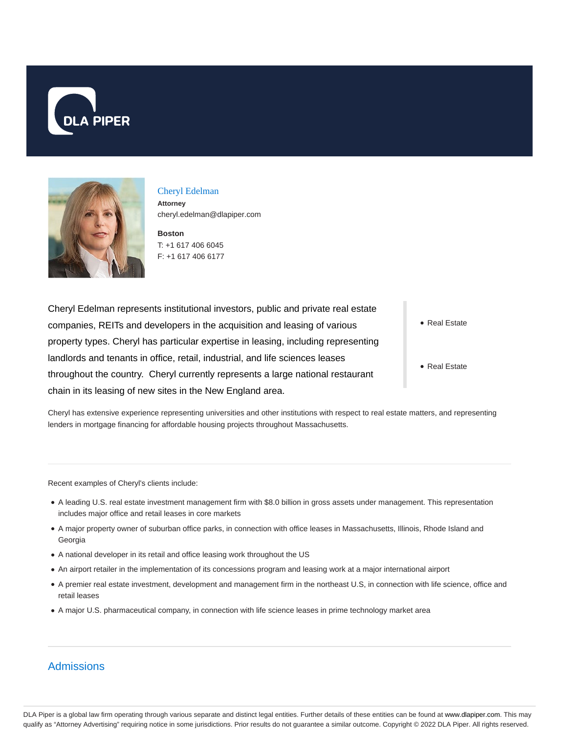



## Cheryl Edelman

**Attorney** cheryl.edelman@dlapiper.com

**Boston** T: +1 617 406 6045 F: +1 617 406 6177

Cheryl Edelman represents institutional investors, public and private real estate companies, REITs and developers in the acquisition and leasing of various property types. Cheryl has particular expertise in leasing, including representing landlords and tenants in office, retail, industrial, and life sciences leases throughout the country. Cheryl currently represents a large national restaurant chain in its leasing of new sites in the New England area.

• Real Estate

Real Estate

Cheryl has extensive experience representing universities and other institutions with respect to real estate matters, and representing lenders in mortgage financing for affordable housing projects throughout Massachusetts.

Recent examples of Cheryl's clients include:

- A leading U.S. real estate investment management firm with \$8.0 billion in gross assets under management. This representation includes major office and retail leases in core markets
- A major property owner of suburban office parks, in connection with office leases in Massachusetts, Illinois, Rhode Island and Georgia
- A national developer in its retail and office leasing work throughout the US
- An airport retailer in the implementation of its concessions program and leasing work at a major international airport
- A premier real estate investment, development and management firm in the northeast U.S, in connection with life science, office and retail leases
- A major U.S. pharmaceutical company, in connection with life science leases in prime technology market area

## **Admissions**

DLA Piper is a global law firm operating through various separate and distinct legal entities. Further details of these entities can be found at www.dlapiper.com. This may qualify as "Attorney Advertising" requiring notice in some jurisdictions. Prior results do not guarantee a similar outcome. Copyright © 2022 DLA Piper. All rights reserved.